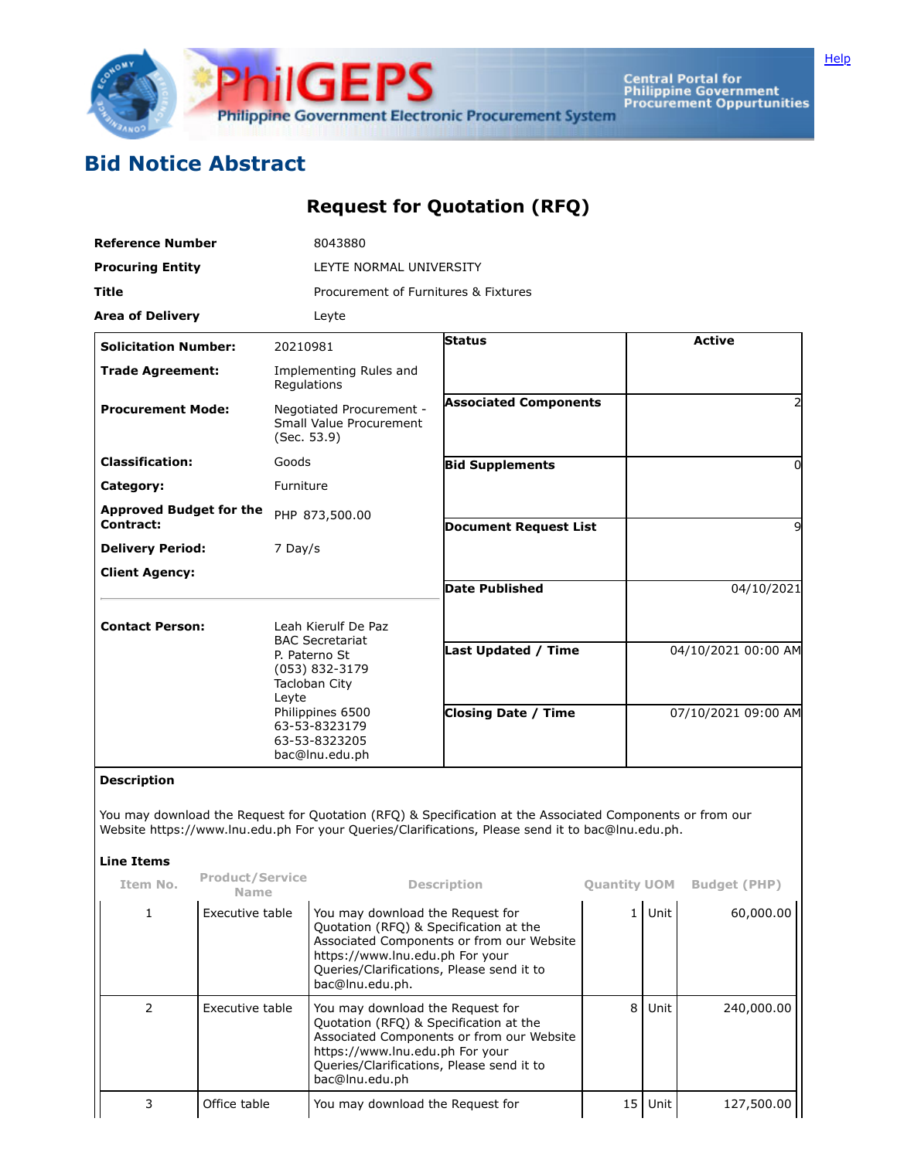

Central Portal for<br>Philippine Government<br>Procurement Oppurtunities

## **Bid Notice Abstract**

## **Request for Quotation (RFQ)**

| <b>Reference Number</b>                     | 8043880                                                                                                                           |                                      |                     |  |  |  |  |  |
|---------------------------------------------|-----------------------------------------------------------------------------------------------------------------------------------|--------------------------------------|---------------------|--|--|--|--|--|
| <b>Procuring Entity</b>                     |                                                                                                                                   | LEYTE NORMAL UNIVERSITY              |                     |  |  |  |  |  |
| <b>Title</b>                                |                                                                                                                                   | Procurement of Furnitures & Fixtures |                     |  |  |  |  |  |
| <b>Area of Delivery</b>                     | Leyte                                                                                                                             |                                      |                     |  |  |  |  |  |
| <b>Solicitation Number:</b>                 | 20210981                                                                                                                          | <b>Status</b>                        | <b>Active</b>       |  |  |  |  |  |
| <b>Trade Agreement:</b>                     | Implementing Rules and<br>Regulations                                                                                             |                                      |                     |  |  |  |  |  |
| <b>Procurement Mode:</b>                    | Negotiated Procurement -<br>Small Value Procurement<br>(Sec. 53.9)                                                                | <b>Associated Components</b>         | 2                   |  |  |  |  |  |
| <b>Classification:</b>                      | Goods                                                                                                                             | <b>Bid Supplements</b>               | 0                   |  |  |  |  |  |
| Category:                                   | Furniture                                                                                                                         |                                      |                     |  |  |  |  |  |
| <b>Approved Budget for the</b><br>Contract: | PHP 873,500.00                                                                                                                    | <b>Document Request List</b>         | 9                   |  |  |  |  |  |
| <b>Delivery Period:</b>                     | 7 Day/s                                                                                                                           |                                      |                     |  |  |  |  |  |
| <b>Client Agency:</b>                       |                                                                                                                                   |                                      |                     |  |  |  |  |  |
|                                             |                                                                                                                                   | <b>Date Published</b>                | 04/10/2021          |  |  |  |  |  |
| <b>Contact Person:</b>                      | Leah Kierulf De Paz<br><b>BAC Secretariat</b>                                                                                     |                                      |                     |  |  |  |  |  |
|                                             | P. Paterno St<br>(053) 832-3179<br>Tacloban City<br>Leyte<br>Philippines 6500<br>63-53-8323179<br>63-53-8323205<br>bac@lnu.edu.ph | <b>Last Updated / Time</b>           | 04/10/2021 00:00 AM |  |  |  |  |  |
|                                             |                                                                                                                                   | <b>Closing Date / Time</b>           | 07/10/2021 09:00 AM |  |  |  |  |  |

## **Description**

You may download the Request for Quotation (RFQ) & Specification at the Associated Components or from our Website https://www.lnu.edu.ph For your Queries/Clarifications, Please send it to bac@lnu.edu.ph.

## **Line Items**

| Item No.      | <b>Product/Service</b><br>Name | <b>Description</b>                                                                                                                                                                                                         | <b>Quantity UOM</b> |         | <b>Budget (PHP)</b> |
|---------------|--------------------------------|----------------------------------------------------------------------------------------------------------------------------------------------------------------------------------------------------------------------------|---------------------|---------|---------------------|
|               | Executive table                | You may download the Request for<br>Quotation (RFQ) & Specification at the<br>Associated Components or from our Website<br>https://www.lnu.edu.ph For your<br>Queries/Clarifications, Please send it to<br>bac@lnu.edu.ph. |                     | Unit    | 60,000.00           |
| $\mathcal{P}$ | Executive table                | You may download the Request for<br>Quotation (RFQ) & Specification at the<br>Associated Components or from our Website<br>https://www.lnu.edu.ph For your<br>Queries/Clarifications, Please send it to<br>bac@lnu.edu.ph  | 8                   | Unit    | 240,000.00          |
|               | Office table                   | You may download the Request for                                                                                                                                                                                           |                     | 15 Unit | 127,500.00          |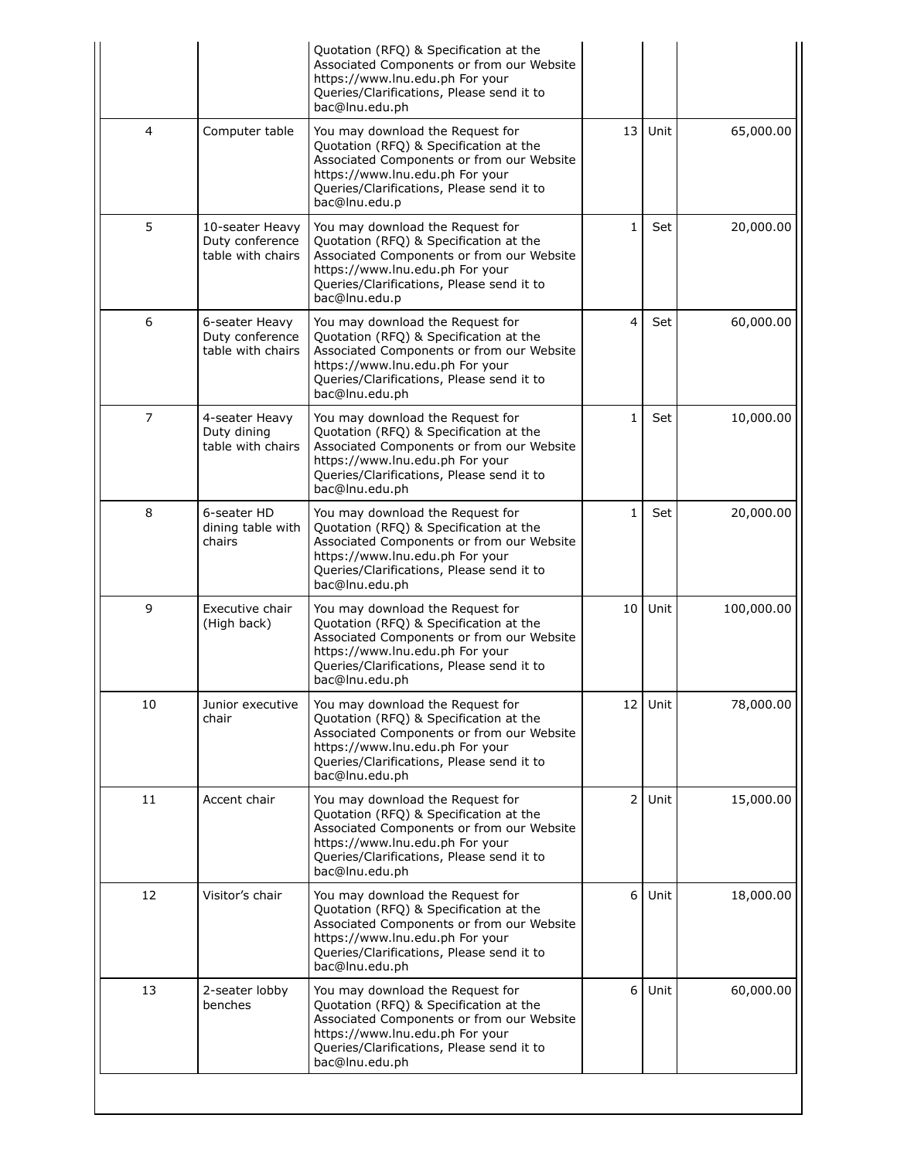|                |                                                         | Quotation (RFQ) & Specification at the<br>Associated Components or from our Website<br>https://www.lnu.edu.ph For your<br>Queries/Clarifications, Please send it to<br>bac@lnu.edu.ph                                     |                 |      |            |
|----------------|---------------------------------------------------------|---------------------------------------------------------------------------------------------------------------------------------------------------------------------------------------------------------------------------|-----------------|------|------------|
| 4              | Computer table                                          | You may download the Request for<br>Quotation (RFQ) & Specification at the<br>Associated Components or from our Website<br>https://www.lnu.edu.ph For your<br>Queries/Clarifications, Please send it to<br>bac@lnu.edu.p  | 13              | Unit | 65,000.00  |
| 5              | 10-seater Heavy<br>Duty conference<br>table with chairs | You may download the Request for<br>Quotation (RFQ) & Specification at the<br>Associated Components or from our Website<br>https://www.lnu.edu.ph For your<br>Queries/Clarifications, Please send it to<br>bac@lnu.edu.p  | 1               | Set  | 20,000.00  |
| 6              | 6-seater Heavy<br>Duty conference<br>table with chairs  | You may download the Request for<br>Quotation (RFQ) & Specification at the<br>Associated Components or from our Website<br>https://www.lnu.edu.ph For your<br>Queries/Clarifications, Please send it to<br>bac@lnu.edu.ph | 4               | Set  | 60,000.00  |
| $\overline{7}$ | 4-seater Heavy<br>Duty dining<br>table with chairs      | You may download the Request for<br>Quotation (RFQ) & Specification at the<br>Associated Components or from our Website<br>https://www.lnu.edu.ph For your<br>Queries/Clarifications, Please send it to<br>bac@lnu.edu.ph | $\mathbf{1}$    | Set  | 10,000.00  |
| 8              | 6-seater HD<br>dining table with<br>chairs              | You may download the Request for<br>Quotation (RFQ) & Specification at the<br>Associated Components or from our Website<br>https://www.lnu.edu.ph For your<br>Queries/Clarifications, Please send it to<br>bac@lnu.edu.ph | 1               | Set  | 20,000.00  |
| 9              | Executive chair<br>(High back)                          | You may download the Request for<br>Quotation (RFQ) & Specification at the<br>Associated Components or from our Website<br>https://www.lnu.edu.ph For your<br>Queries/Clarifications, Please send it to<br>bac@lnu.edu.ph | 10 <sup>1</sup> | Unit | 100,000.00 |
| 10             | Junior executive<br>chair                               | You may download the Request for<br>Quotation (RFQ) & Specification at the<br>Associated Components or from our Website<br>https://www.lnu.edu.ph For your<br>Queries/Clarifications, Please send it to<br>bac@lnu.edu.ph | 12 <sub>1</sub> | Unit | 78,000.00  |
| 11             | Accent chair                                            | You may download the Request for<br>Quotation (RFQ) & Specification at the<br>Associated Components or from our Website<br>https://www.lnu.edu.ph For your<br>Queries/Clarifications, Please send it to<br>bac@lnu.edu.ph | $2 \mid$        | Unit | 15,000.00  |
| 12             | Visitor's chair                                         | You may download the Request for<br>Quotation (RFQ) & Specification at the<br>Associated Components or from our Website<br>https://www.lnu.edu.ph For your<br>Queries/Clarifications, Please send it to<br>bac@lnu.edu.ph | 6               | Unit | 18,000.00  |
| 13             | 2-seater lobby<br>benches                               | You may download the Request for<br>Quotation (RFQ) & Specification at the<br>Associated Components or from our Website<br>https://www.lnu.edu.ph For your<br>Queries/Clarifications, Please send it to<br>bac@lnu.edu.ph | $6 \mid$        | Unit | 60,000.00  |